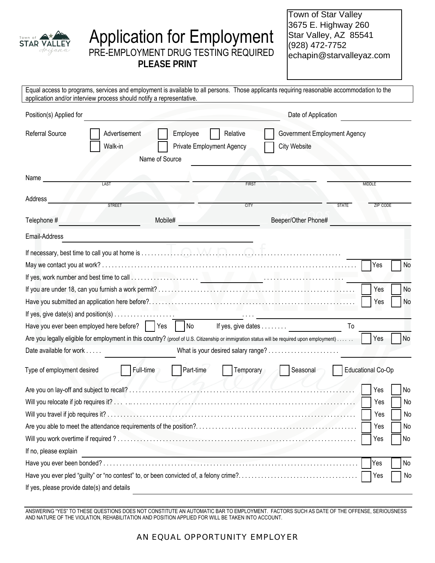

# Application for Employment PRE-EMPLOYMENT DRUG TESTING REQUIRED

Town of Star Valley 3675 E. Highway 260 Star Valley, AZ 85541 (928) 472-7752 echapin@starvalleyaz.com

ֺ֝֡

**PLEASE PRINT**

| application and/or interview process should notify a representative.                                                     |                                                                                                                                                               |                                                                                 |              | Equal access to programs, services and employment is available to all persons. Those applicants requiring reasonable accommodation to the   |              |                                                               |
|--------------------------------------------------------------------------------------------------------------------------|---------------------------------------------------------------------------------------------------------------------------------------------------------------|---------------------------------------------------------------------------------|--------------|---------------------------------------------------------------------------------------------------------------------------------------------|--------------|---------------------------------------------------------------|
| Position(s) Applied for                                                                                                  |                                                                                                                                                               |                                                                                 |              | Date of Application                                                                                                                         |              |                                                               |
| <b>Referral Source</b>                                                                                                   | Advertisement<br>Relative<br>Government Employment Agency<br>Employee<br>Walk-in<br><b>City Website</b><br><b>Private Employment Agency</b><br>Name of Source |                                                                                 |              |                                                                                                                                             |              |                                                               |
| Name                                                                                                                     | LAST                                                                                                                                                          |                                                                                 | <b>FIRST</b> |                                                                                                                                             |              | <b>MIDDLE</b>                                                 |
| Address                                                                                                                  | <b>STREET</b>                                                                                                                                                 |                                                                                 | <b>CITY</b>  |                                                                                                                                             | <b>STATE</b> | <b>ZIP CODE</b>                                               |
| Telephone #                                                                                                              |                                                                                                                                                               | Mobile#                                                                         |              | Beeper/Other Phone#                                                                                                                         |              |                                                               |
| Email-Address                                                                                                            |                                                                                                                                                               |                                                                                 |              |                                                                                                                                             |              |                                                               |
| If yes, give date(s) and position(s) $\dots \dots \dots \dots \dots$<br>Have you ever been employed here before?     Yes |                                                                                                                                                               | No                                                                              |              | If yes, give dates                                                                                                                          | To           | No<br>Yes<br>No<br>Yes<br>No<br>Yes                           |
| Date available for work                                                                                                  |                                                                                                                                                               |                                                                                 |              | Are you legally eligible for employment in this country? (proof of U.S. Citizenship or immigration status will be required upon employment) |              | <b>No</b><br>  Yes                                            |
| Type of employment desired                                                                                               | Full-time                                                                                                                                                     | Part-time                                                                       | Temporary    | Seasonal                                                                                                                                    |              | <b>Educational Co-Op</b>                                      |
| If no, please explain                                                                                                    |                                                                                                                                                               | the contract of the contract of the contract of the contract of the contract of |              |                                                                                                                                             |              | Yes<br>No<br>No<br>Yes<br>Yes<br>No<br>Yes<br>No<br>Yes<br>No |
|                                                                                                                          |                                                                                                                                                               |                                                                                 |              |                                                                                                                                             |              | Yes<br>No                                                     |
| If yes, please provide date(s) and details                                                                               |                                                                                                                                                               |                                                                                 |              |                                                                                                                                             |              | Yes<br>No                                                     |

ANSWERING "YES" TO THESE QUESTIONS DOES NOT CONSTITUTE AN AUTOMATIC BAR TO EMPLOYMENT. FACTORS SUCH AS DATE OF THE OFFENSE, SERIOUSNESS AND NATURE OF THE VIOLATION, REHABILITATION AND POSITION APPLIED FOR WILL BE TAKEN INTO ACCOUNT.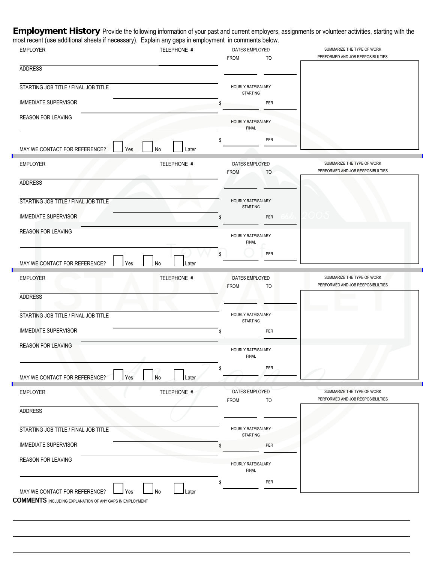Employment History Provide the following information of your past and current employers, assignments or volunteer activities, starting with the most recent (use additional sheets if necessary). Explain any gaps in employment in comments below.

| <b>EMPLOYER</b>                      | TELEPHONE # | DATES EMPLOYED<br>TO                  | SUMMARIZE THE TYPE OF WORK<br>PERFORMED AND JOB RESPOSIBLILTIES |
|--------------------------------------|-------------|---------------------------------------|-----------------------------------------------------------------|
| <b>ADDRESS</b>                       |             | <b>FROM</b>                           |                                                                 |
| STARTING JOB TITLE / FINAL JOB TITLE |             | HOURLY RATE/SALARY                    |                                                                 |
| <b>IMMEDIATE SUPERVISOR</b>          |             | <b>STARTING</b><br>PER                |                                                                 |
| <b>REASON FOR LEAVING</b>            |             |                                       |                                                                 |
|                                      |             | HOURLY RATE/SALARY<br><b>FINAL</b>    |                                                                 |
| MAY WE CONTACT FOR REFERENCE?<br>Yes | No<br>Later | PER<br>\$                             |                                                                 |
| <b>EMPLOYER</b>                      | TELEPHONE # | DATES EMPLOYED<br><b>FROM</b><br>TO   | SUMMARIZE THE TYPE OF WORK<br>PERFORMED AND JOB RESPOSIBLILTIES |
| <b>ADDRESS</b>                       |             |                                       |                                                                 |
| STARTING JOB TITLE / FINAL JOB TITLE |             | HOURLY RATE/SALARY<br><b>STARTING</b> |                                                                 |
| <b>IMMEDIATE SUPERVISOR</b>          |             | PER<br>٩                              |                                                                 |
| REASON FOR LEAVING                   |             | HOURLY RATE/SALARY<br><b>FINAL</b>    |                                                                 |
| MAY WE CONTACT FOR REFERENCE?<br>Yes | No<br>Later | PER                                   |                                                                 |
| <b>EMPLOYER</b>                      | TELEPHONE # | DATES EMPLOYED<br><b>FROM</b><br>TO   | SUMMARIZE THE TYPE OF WORK<br>PERFORMED AND JOB RESPOSIBLILTIES |
| <b>ADDRESS</b>                       |             |                                       |                                                                 |
| STARTING JOB TITLE / FINAL JOB TITLE |             | HOURLY RATE/SALARY<br><b>STARTING</b> |                                                                 |
| <b>IMMEDIATE SUPERVISOR</b>          |             | PER                                   |                                                                 |
| <b>REASON FOR LEAVING</b>            |             | HOURLY RATE/SALARY<br><b>FINAL</b>    |                                                                 |
| MAY WE CONTACT FOR REFERENCE?<br>Yes | Later       | PER<br>\$                             |                                                                 |
| <b>EMPLOYER</b>                      | TELEPHONE # | DATES EMPLOYED<br><b>FROM</b><br>TO   | SUMMARIZE THE TYPE OF WORK<br>PERFORMED AND JOB RESPOSIBLILTIES |
| <b>ADDRESS</b>                       |             |                                       |                                                                 |
| STARTING JOB TITLE / FINAL JOB TITLE |             | HOURLY RATE/SALARY<br><b>STARTING</b> |                                                                 |
| <b>IMMEDIATE SUPERVISOR</b>          |             | PER<br>\$                             |                                                                 |
| REASON FOR LEAVING                   |             | HOURLY RATE/SALARY<br><b>FINAL</b>    |                                                                 |
|                                      |             |                                       |                                                                 |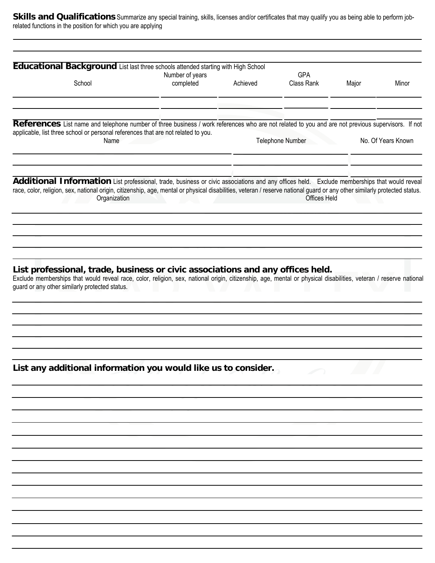Skills and Qualifications Summarize any special training, skills, licenses and/or certificates that may qualify you as being able to perform jobrelated functions in the position for which you are applying

| Educational Background List last three schools attended starting with High School                                                                                         |                 |          |                     |       |                    |
|---------------------------------------------------------------------------------------------------------------------------------------------------------------------------|-----------------|----------|---------------------|-------|--------------------|
|                                                                                                                                                                           | Number of years |          | <b>GPA</b>          |       |                    |
| School                                                                                                                                                                    | completed       | Achieved | Class Rank          | Major | Minor              |
|                                                                                                                                                                           |                 |          |                     |       |                    |
|                                                                                                                                                                           |                 |          |                     |       |                    |
| References List name and telephone number of three business / work references who are not related to you and are not previous supervisors. If not                         |                 |          |                     |       |                    |
| applicable, list three school or personal references that are not related to you.<br>Name                                                                                 |                 |          | Telephone Number    |       | No. Of Years Known |
|                                                                                                                                                                           |                 |          |                     |       |                    |
|                                                                                                                                                                           |                 |          |                     |       |                    |
| Additional Information List professional, trade, business or civic associations and any offices held. Exclude memberships that would reveal                               |                 |          |                     |       |                    |
| race, color, religion, sex, national origin, citizenship, age, mental or physical disabilities, veteran / reserve national guard or any other similarly protected status. |                 |          |                     |       |                    |
| Organization                                                                                                                                                              |                 |          | <b>Offices Held</b> |       |                    |
|                                                                                                                                                                           |                 |          |                     |       |                    |
|                                                                                                                                                                           |                 |          |                     |       |                    |
|                                                                                                                                                                           |                 |          |                     |       |                    |
|                                                                                                                                                                           |                 |          |                     |       |                    |
|                                                                                                                                                                           |                 |          |                     |       |                    |
|                                                                                                                                                                           |                 |          |                     |       |                    |
| List professional, trade, business or civic associations and any offices held.                                                                                            |                 |          |                     |       |                    |
| Exclude memberships that would reveal race, color, religion, sex, national origin, citizenship, age, mental or physical disabilities, veteran / reserve national          |                 |          |                     |       |                    |
| guard or any other similarly protected status.                                                                                                                            |                 |          |                     |       |                    |
|                                                                                                                                                                           |                 |          |                     |       |                    |
|                                                                                                                                                                           |                 |          |                     |       |                    |
|                                                                                                                                                                           |                 |          |                     |       |                    |
|                                                                                                                                                                           |                 |          |                     |       |                    |
|                                                                                                                                                                           |                 |          |                     |       |                    |
|                                                                                                                                                                           |                 |          |                     |       |                    |
| List any additional information you would like us to consider.                                                                                                            |                 |          |                     |       |                    |
|                                                                                                                                                                           |                 |          |                     |       |                    |
|                                                                                                                                                                           |                 |          |                     |       |                    |
|                                                                                                                                                                           |                 |          |                     |       |                    |
|                                                                                                                                                                           |                 |          |                     |       |                    |
|                                                                                                                                                                           |                 |          |                     |       |                    |
|                                                                                                                                                                           |                 |          |                     |       |                    |
|                                                                                                                                                                           |                 |          |                     |       |                    |
|                                                                                                                                                                           |                 |          |                     |       |                    |
|                                                                                                                                                                           |                 |          |                     |       |                    |
|                                                                                                                                                                           |                 |          |                     |       |                    |
|                                                                                                                                                                           |                 |          |                     |       |                    |
|                                                                                                                                                                           |                 |          |                     |       |                    |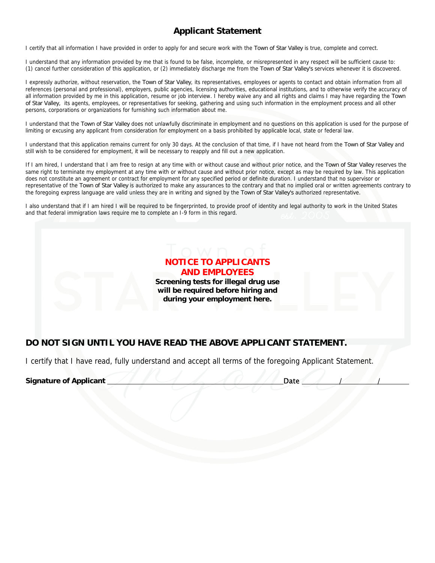### **Applicant Statement**

I certify that all information I have provided in order to apply for and secure work with the Town of Star Valley is true, complete and correct.

I understand that any information provided by me that is found to be false, incomplete, or misrepresented in any respect will be sufficient cause to: (1) cancel further consideration of this application, or (2) immediately discharge me from the Town of Star Valley's services whenever it is discovered.

I expressly authorize, without reservation, the Town of Star Valley, its representatives, employees or agents to contact and obtain information from all references (personal and professional), employers, public agencies, licensing authorities, educational institutions, and to otherwise verify the accuracy of all information provided by me in this application, resume or job interview. I hereby waive any and all rights and claims I may have regarding the Town of Star Valley, its agents, employees, or representatives for seeking, gathering and using such information in the employment process and all other persons, corporations or organizations for furnishing such information about me.

I understand that the Town of Star Valley does not unlawfully discriminate in employment and no questions on this application is used for the purpose of limiting or excusing any applicant from consideration for employment on a basis prohibited by applicable local, state or federal law.

I understand that this application remains current for only 30 days. At the conclusion of that time, if I have not heard from the Town of Star Valley and still wish to be considered for employment, it will be necessary to reapply and fill out a new application.

If I am hired, I understand that I am free to resign at any time with or without cause and without prior notice, and the Town of Star Valley reserves the same right to terminate my employment at any time with or without cause and without prior notice, except as may be required by law. This application does not constitute an agreement or contract for employment for any specified period or definite duration. I understand that no supervisor or representative of the Town of Star Valley is authorized to make any assurances to the contrary and that no implied oral or written agreements contrary to the foregoing express language are valid unless they are in writing and signed by the Town of Star Valley's authorized representative.

I also understand that if I am hired I will be required to be fingerprinted, to provide proof of identity and legal authority to work in the United States and that federal immigration laws require me to complete an I-9 form in this regard.



#### **DO NOT SIGN UNTIL YOU HAVE READ THE ABOVE APPLICANT STATEMENT.**

I certify that I have read, fully understand and accept all terms of the foregoing Applicant Statement.

**Signature of Applicant / / / / / / / / / / / / Date**